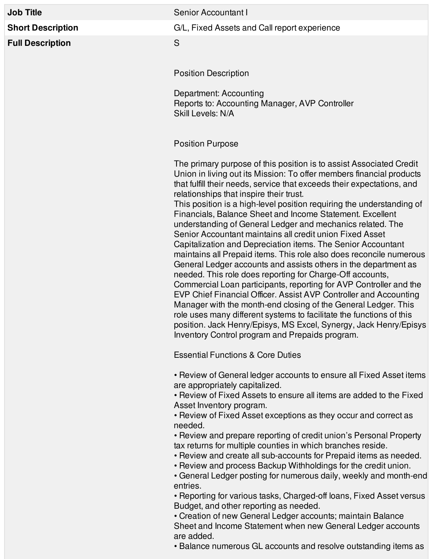| <b>Job Title</b>         | Senior Accountant I                                                                                                                                                                                                                                                                                                                                                                                                                                                                                                                                                                                                                                                                                                                                                                                                                                                                                                                                                                                                                                                                                                                                                                                                  |
|--------------------------|----------------------------------------------------------------------------------------------------------------------------------------------------------------------------------------------------------------------------------------------------------------------------------------------------------------------------------------------------------------------------------------------------------------------------------------------------------------------------------------------------------------------------------------------------------------------------------------------------------------------------------------------------------------------------------------------------------------------------------------------------------------------------------------------------------------------------------------------------------------------------------------------------------------------------------------------------------------------------------------------------------------------------------------------------------------------------------------------------------------------------------------------------------------------------------------------------------------------|
| <b>Short Description</b> | G/L, Fixed Assets and Call report experience                                                                                                                                                                                                                                                                                                                                                                                                                                                                                                                                                                                                                                                                                                                                                                                                                                                                                                                                                                                                                                                                                                                                                                         |
| <b>Full Description</b>  | S                                                                                                                                                                                                                                                                                                                                                                                                                                                                                                                                                                                                                                                                                                                                                                                                                                                                                                                                                                                                                                                                                                                                                                                                                    |
|                          | <b>Position Description</b>                                                                                                                                                                                                                                                                                                                                                                                                                                                                                                                                                                                                                                                                                                                                                                                                                                                                                                                                                                                                                                                                                                                                                                                          |
|                          | Department: Accounting<br>Reports to: Accounting Manager, AVP Controller<br>Skill Levels: N/A                                                                                                                                                                                                                                                                                                                                                                                                                                                                                                                                                                                                                                                                                                                                                                                                                                                                                                                                                                                                                                                                                                                        |
|                          | <b>Position Purpose</b>                                                                                                                                                                                                                                                                                                                                                                                                                                                                                                                                                                                                                                                                                                                                                                                                                                                                                                                                                                                                                                                                                                                                                                                              |
|                          | The primary purpose of this position is to assist Associated Credit<br>Union in living out its Mission: To offer members financial products<br>that fulfill their needs, service that exceeds their expectations, and<br>relationships that inspire their trust.<br>This position is a high-level position requiring the understanding of<br>Financials, Balance Sheet and Income Statement. Excellent<br>understanding of General Ledger and mechanics related. The<br>Senior Accountant maintains all credit union Fixed Asset<br>Capitalization and Depreciation items. The Senior Accountant<br>maintains all Prepaid items. This role also does reconcile numerous<br>General Ledger accounts and assists others in the department as<br>needed. This role does reporting for Charge-Off accounts,<br>Commercial Loan participants, reporting for AVP Controller and the<br>EVP Chief Financial Officer. Assist AVP Controller and Accounting<br>Manager with the month-end closing of the General Ledger. This<br>role uses many different systems to facilitate the functions of this<br>position. Jack Henry/Episys, MS Excel, Synergy, Jack Henry/Episys<br>Inventory Control program and Prepaids program. |
|                          | <b>Essential Functions &amp; Core Duties</b>                                                                                                                                                                                                                                                                                                                                                                                                                                                                                                                                                                                                                                                                                                                                                                                                                                                                                                                                                                                                                                                                                                                                                                         |
|                          | • Review of General ledger accounts to ensure all Fixed Asset items<br>are appropriately capitalized.<br>• Review of Fixed Assets to ensure all items are added to the Fixed<br>Asset Inventory program.<br>• Review of Fixed Asset exceptions as they occur and correct as<br>needed.<br>• Review and prepare reporting of credit union's Personal Property<br>tax returns for multiple counties in which branches reside.<br>• Review and create all sub-accounts for Prepaid items as needed.<br>• Review and process Backup Withholdings for the credit union.<br>• General Ledger posting for numerous daily, weekly and month-end                                                                                                                                                                                                                                                                                                                                                                                                                                                                                                                                                                              |
|                          | entries.<br>• Reporting for various tasks, Charged-off loans, Fixed Asset versus<br>Budget, and other reporting as needed.                                                                                                                                                                                                                                                                                                                                                                                                                                                                                                                                                                                                                                                                                                                                                                                                                                                                                                                                                                                                                                                                                           |

• Creation of new General Ledger accounts; maintain Balance Sheet and Income Statement when new General Ledger accounts are added.

• Balance numerous GL accounts and resolve outstanding items as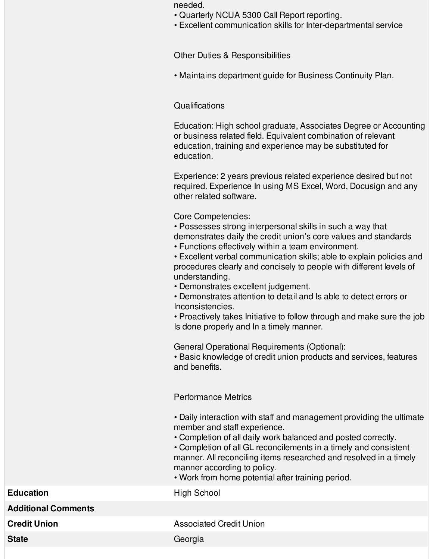- Quarterly NCUA 5300 Call Report reporting.
- Excellent communication skills for Inter-departmental service

Other Duties & Responsibilities

• Maintains department guide for Business Continuity Plan.

## Qualifications

Education: High school graduate, Associates Degree or Accounting or business related field. Equivalent combination of relevant education, training and experience may be substituted for education.

Experience: 2 years previous related experience desired but not required. Experience In using MS Excel, Word, Docusign and any other related software.

Core Competencies:

• Possesses strong interpersonal skills in such a way that demonstrates daily the credit union's core values and standards

• Functions effectively within a team environment.

• Excellent verbal communication skills; able to explain policies and procedures clearly and concisely to people with different levels of understanding.

• Demonstrates excellent judgement.

• Demonstrates attention to detail and Is able to detect errors or Inconsistencies.

• Proactively takes Initiative to follow through and make sure the job Is done properly and In a timely manner.

General Operational Requirements (Optional):

• Basic knowledge of credit union products and services, features and benefits.

## Performance Metrics

• Daily interaction with staff and management providing the ultimate member and staff experience.

- Completion of all daily work balanced and posted correctly.
- Completion of all GL reconcilements in a timely and consistent manner. All reconciling items researched and resolved in a timely manner according to policy.
- Work from home potential after training period.

**Additional Comments**

**Education** High School

**Credit Union Credit Union Credit Union** 

State Georgia